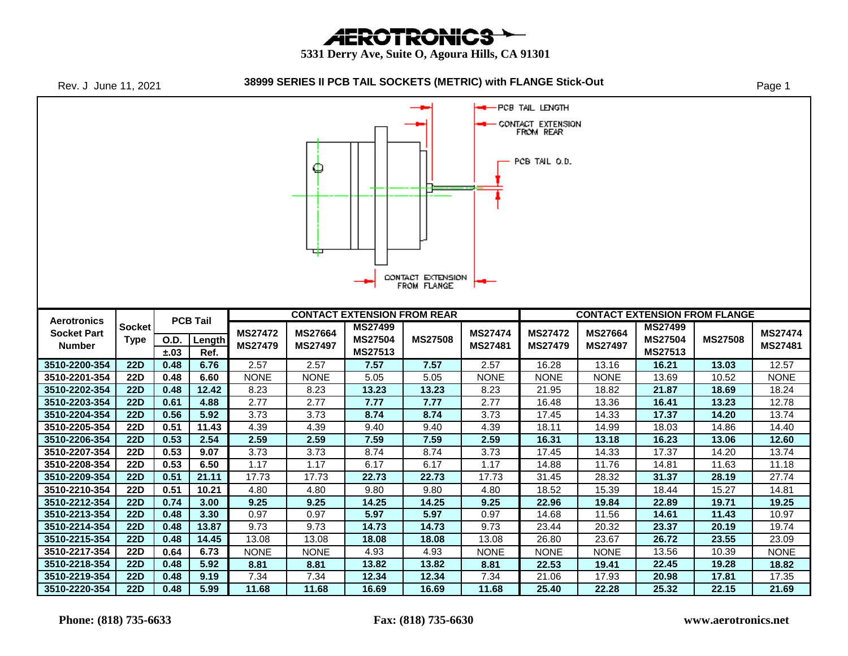**AEROTRONICS** 

 **5331 Derry Ave, Suite O, Agoura Hills, CA 91301**

| Rev. J June 11, 2021                                                                                                  |                          |                 |               |                                  |                                  | 38999 SERIES II PCB TAIL SOCKETS (METRIC) with FLANGE Stick-Out |                |                           |                           |                                  |                |                                      | Page 1                    |  |  |
|-----------------------------------------------------------------------------------------------------------------------|--------------------------|-----------------|---------------|----------------------------------|----------------------------------|-----------------------------------------------------------------|----------------|---------------------------|---------------------------|----------------------------------|----------------|--------------------------------------|---------------------------|--|--|
| PCB TAIL LENGTH<br>-<br>CONTACT EXTENSION<br>FROM REAR<br>PCB TAIL 0.D.<br>Ф<br>中<br>CONTACT EXTENSION<br>FROM FLANGE |                          |                 |               |                                  |                                  |                                                                 |                |                           |                           |                                  |                |                                      |                           |  |  |
|                                                                                                                       |                          |                 |               |                                  |                                  | <b>CONTACT EXTENSION FROM REAR</b>                              |                |                           |                           |                                  |                | <b>CONTACT EXTENSION FROM FLANGE</b> |                           |  |  |
| <b>Aerotronics</b>                                                                                                    | <b>Socket</b>            | <b>PCB Tail</b> |               |                                  |                                  |                                                                 |                | <b>MS27499</b>            |                           |                                  |                |                                      | <b>MS27499</b>            |  |  |
| <b>Socket Part</b><br><b>Number</b>                                                                                   | <b>Type</b>              | O.D.<br>±.03    | Length        | <b>MS27472</b><br><b>MS27479</b> | <b>MS27664</b><br><b>MS27497</b> | MS27504                                                         | <b>MS27508</b> | <b>MS27474</b><br>MS27481 | <b>MS27472</b><br>MS27479 | <b>MS27664</b><br><b>MS27497</b> | <b>MS27504</b> | <b>MS27508</b>                       | <b>MS27474</b><br>MS27481 |  |  |
|                                                                                                                       |                          |                 |               |                                  |                                  |                                                                 |                |                           |                           |                                  |                |                                      |                           |  |  |
|                                                                                                                       |                          |                 | Ref.          |                                  |                                  | MS27513                                                         |                |                           |                           |                                  | MS27513        |                                      |                           |  |  |
| 3510-2200-354                                                                                                         | 22D                      | 0.48            | 6.76          | 2.57                             | 2.57                             | 7.57                                                            | 7.57           | 2.57                      | 16.28                     | 13.16                            | 16.21          | 13.03                                | 12.57                     |  |  |
| 3510-2201-354                                                                                                         | <b>22D</b><br><b>22D</b> | 0.48<br>0.48    | 6.60          | <b>NONE</b>                      | <b>NONE</b>                      | 5.05                                                            | 5.05           | <b>NONE</b>               | <b>NONE</b>               | <b>NONE</b>                      | 13.69          | 10.52                                | <b>NONE</b>               |  |  |
| 3510-2202-354                                                                                                         |                          |                 | 12.42         | 8.23                             | 8.23                             | 13.23                                                           | 13.23          | 8.23                      | 21.95                     | 18.82                            | 21.87          | 18.69                                | 18.24                     |  |  |
| 3510-2203-354<br>3510-2204-354                                                                                        | <b>22D</b><br><b>22D</b> | 0.61<br>0.56    | 4.88<br>5.92  | 2.77<br>3.73                     | 2.77<br>3.73                     | 7.77<br>8.74                                                    | 7.77<br>8.74   | 2.77<br>3.73              | 16.48<br>17.45            | 13.36<br>14.33                   | 16.41<br>17.37 | 13.23<br>14.20                       | 12.78<br>13.74            |  |  |
|                                                                                                                       | <b>22D</b>               | 0.51            |               |                                  |                                  |                                                                 |                |                           |                           |                                  |                |                                      |                           |  |  |
| 3510-2205-354<br>3510-2206-354                                                                                        | <b>22D</b>               | 0.53            | 11.43<br>2.54 | 4.39<br>2.59                     | 4.39<br>2.59                     | 9.40<br>7.59                                                    | 9.40<br>7.59   | 4.39<br>2.59              | 18.11<br>16.31            | 14.99<br>13.18                   | 18.03<br>16.23 | 14.86<br>13.06                       | 14.40<br>12.60            |  |  |
| 3510-2207-354                                                                                                         | 22D                      | 0.53            | 9.07          | 3.73                             | 3.73                             | 8.74                                                            | 8.74           | 3.73                      |                           | 14.33                            | 17.37          | 14.20                                | 13.74                     |  |  |
| 3510-2208-354                                                                                                         | <b>22D</b>               | 0.53            | 6.50          | 1.17                             | 1.17                             | 6.17                                                            | 6.17           | 1.17                      | 17.45<br>14.88            | 11.76                            | 14.81          | 11.63                                | 11.18                     |  |  |
| 3510-2209-354                                                                                                         | <b>22D</b>               | 0.51            | 21.11         | 17.73                            | 17.73                            | 22.73                                                           | 22.73          | 17.73                     | 31.45                     | 28.32                            | 31.37          | 28.19                                | 27.74                     |  |  |
| 3510-2210-354                                                                                                         | 22D                      | 0.51            | 10.21         | 4.80                             | 4.80                             | 9.80                                                            | 9.80           | 4.80                      | 18.52                     | 15.39                            | 18.44          | 15.27                                | 14.81                     |  |  |
| 3510-2212-354                                                                                                         | <b>22D</b>               | 0.74            | 3.00          | 9.25                             | 9.25                             | 14.25                                                           | 14.25          | 9.25                      | 22.96                     | 19.84                            | 22.89          | 19.71                                | 19.25                     |  |  |
| 3510-2213-354                                                                                                         | <b>22D</b>               | 0.48            | 3.30          | 0.97                             | 0.97                             | 5.97                                                            | 5.97           | 0.97                      | 14.68                     | 11.56                            | 14.61          | 11.43                                | 10.97                     |  |  |
| 3510-2214-354                                                                                                         | <b>22D</b>               | 0.48            | 13.87         | 9.73                             | 9.73                             | 14.73                                                           | 14.73          | 9.73                      | 23.44                     | 20.32                            | 23.37          | 20.19                                | 19.74                     |  |  |
| 3510-2215-354                                                                                                         | <b>22D</b>               | 0.48            | 14.45         | 13.08                            | 13.08                            | 18.08                                                           | 18.08          | 13.08                     | 26.80                     | 23.67                            | 26.72          | 23.55                                | 23.09                     |  |  |
| 3510-2217-354                                                                                                         | <b>22D</b>               | 0.64            | 6.73          | <b>NONE</b>                      | <b>NONE</b>                      | 4.93                                                            | 4.93           | <b>NONE</b>               | <b>NONE</b>               | <b>NONE</b>                      | 13.56          | 10.39                                | <b>NONE</b>               |  |  |
| 3510-2218-354                                                                                                         | <b>22D</b>               | 0.48            | 5.92          | 8.81                             | 8.81                             | 13.82                                                           | 13.82          | 8.81                      | 22.53                     | 19.41                            | 22.45          | 19.28                                | 18.82                     |  |  |
| 3510-2219-354<br>3510-2220-354                                                                                        | <b>22D</b>               | 0.48<br>0.48    | 9.19<br>5.99  | 7.34                             | 7.34                             | 12.34                                                           | 12.34          | 7.34<br>11.68             | 21.06<br>25.40            | 17.93<br>22.28                   | 20.98<br>25.32 | 17.81<br>22.15                       | 17.35<br>21.69            |  |  |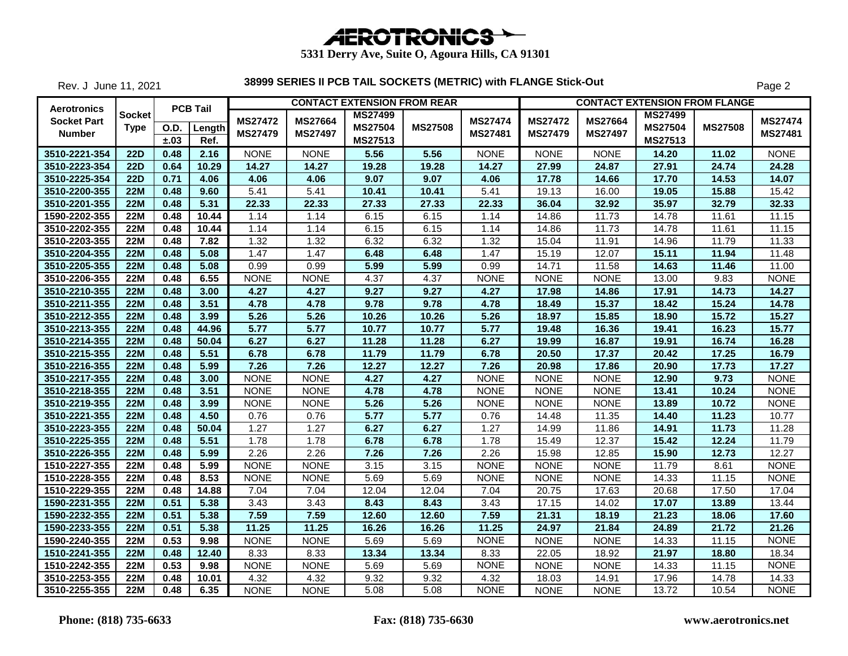| <b>AEROTRONICS</b> |  |
|--------------------|--|

Rev. J June 11, 2021

|                                                    |                       |                          |                           |                                  |                                  | <b>CONTACT EXTENSION FROM REAR</b> |                |                                  |                                  |                           | <b>CONTACT EXTENSION FROM FLANGE</b> |                |                           |
|----------------------------------------------------|-----------------------|--------------------------|---------------------------|----------------------------------|----------------------------------|------------------------------------|----------------|----------------------------------|----------------------------------|---------------------------|--------------------------------------|----------------|---------------------------|
| Aerotronics<br><b>Socket Part</b><br><b>Number</b> | Socket<br><b>Type</b> | <b>O.D.</b><br>$\pm .03$ | <b>PCB Tail</b><br>Length | <b>MS27472</b><br><b>MS27479</b> | <b>MS27664</b><br><b>MS27497</b> | <b>MS27499</b><br><b>MS27504</b>   | <b>MS27508</b> | <b>MS27474</b><br><b>MS27481</b> | <b>MS27472</b><br><b>MS27479</b> | MS27664<br><b>MS27497</b> | <b>MS27499</b><br><b>MS27504</b>     | <b>MS27508</b> | <b>MS27474</b><br>MS27481 |
| 3510-2221-354                                      | <b>22D</b>            | 0.48                     | Ref.<br>2.16              | <b>NONE</b>                      | <b>NONE</b>                      | MS27513<br>5.56                    | 5.56           | <b>NONE</b>                      | <b>NONE</b>                      | <b>NONE</b>               | MS27513<br>14.20                     | 11.02          | <b>NONE</b>               |
| 3510-2223-354                                      | <b>22D</b>            | 0.64                     | 10.29                     | 14.27                            | 14.27                            | 19.28                              | 19.28          | 14.27                            | 27.99                            | 24.87                     | 27.91                                | 24.74          | 24.28                     |
| 3510-2225-354                                      | <b>22D</b>            | 0.71                     | 4.06                      | 4.06                             | 4.06                             | 9.07                               | 9.07           | 4.06                             | 17.78                            | 14.66                     | 17.70                                | 14.53          | 14.07                     |
| 3510-2200-355                                      | <b>22M</b>            | 0.48                     | 9.60                      | 5.41                             | 5.41                             | 10.41                              | 10.41          | 5.41                             | 19.13                            | 16.00                     | 19.05                                | 15.88          | 15.42                     |
| 3510-2201-355                                      | 22M                   | 0.48                     | 5.31                      | 22.33                            | 22.33                            | 27.33                              | 27.33          | 22.33                            | 36.04                            | 32.92                     | 35.97                                | 32.79          | 32.33                     |
| 1590-2202-355                                      | <b>22M</b>            | 0.48                     | 10.44                     | 1.14                             | 1.14                             | 6.15                               | 6.15           | 1.14                             | 14.86                            | 11.73                     | 14.78                                | 11.61          | 11.15                     |
| 3510-2202-355                                      | <b>22M</b>            | 0.48                     | 10.44                     | 1.14                             | 1.14                             | 6.15                               | 6.15           | 1.14                             | 14.86                            | 11.73                     | 14.78                                | 11.61          | 11.15                     |
| 3510-2203-355                                      | <b>22M</b>            | 0.48                     | 7.82                      | 1.32                             | 1.32                             | 6.32                               | 6.32           | 1.32                             | 15.04                            | 11.91                     | 14.96                                | 11.79          | 11.33                     |
| 3510-2204-355                                      | 22M                   | 0.48                     | 5.08                      | 1.47                             | 1.47                             | 6.48                               | 6.48           | 1.47                             | 15.19                            | 12.07                     | 15.11                                | 11.94          | 11.48                     |
| 3510-2205-355                                      | 22M                   | 0.48                     | 5.08                      | 0.99                             | 0.99                             | 5.99                               | 5.99           | 0.99                             | 14.71                            | 11.58                     | 14.63                                | 11.46          | 11.00                     |
| 3510-2206-355                                      | <b>22M</b>            | 0.48                     | 6.55                      | <b>NONE</b>                      | <b>NONE</b>                      | 4.37                               | 4.37           | <b>NONE</b>                      | <b>NONE</b>                      | <b>NONE</b>               | 13.00                                | 9.83           | <b>NONE</b>               |
| 3510-2210-355                                      | 22M                   | 0.48                     | 3.00                      | 4.27                             | 4.27                             | 9.27                               | 9.27           | 4.27                             | 17.98                            | 14.86                     | 17.91                                | 14.73          | 14.27                     |
| 3510-2211-355                                      | <b>22M</b>            | 0.48                     | 3.51                      | 4.78                             | 4.78                             | 9.78                               | 9.78           | 4.78                             | 18.49                            | 15.37                     | 18.42                                | 15.24          | 14.78                     |
| 3510-2212-355                                      | <b>22M</b>            | 0.48                     | 3.99                      | 5.26                             | 5.26                             | 10.26                              | 10.26          | 5.26                             | 18.97                            | 15.85                     | 18.90                                | 15.72          | 15.27                     |
| 3510-2213-355                                      | <b>22M</b>            | 0.48                     | 44.96                     | 5.77                             | 5.77                             | 10.77                              | 10.77          | 5.77                             | 19.48                            | 16.36                     | 19.41                                | 16.23          | 15.77                     |
| 3510-2214-355                                      | <b>22M</b>            | 0.48                     | 50.04                     | 6.27                             | 6.27                             | 11.28                              | 11.28          | 6.27                             | 19.99                            | 16.87                     | 19.91                                | 16.74          | 16.28                     |
| 3510-2215-355                                      | 22M                   | 0.48                     | 5.51                      | 6.78                             | 6.78                             | 11.79                              | 11.79          | 6.78                             | 20.50                            | 17.37                     | 20.42                                | 17.25          | 16.79                     |
| 3510-2216-355                                      | <b>22M</b>            | 0.48                     | 5.99                      | 7.26                             | 7.26                             | 12.27                              | 12.27          | 7.26                             | 20.98                            | 17.86                     | 20.90                                | 17.73          | 17.27                     |
| 3510-2217-355                                      | <b>22M</b>            | 0.48                     | 3.00                      | <b>NONE</b>                      | <b>NONE</b>                      | 4.27                               | 4.27           | <b>NONE</b>                      | <b>NONE</b>                      | <b>NONE</b>               | 12.90                                | 9.73           | <b>NONE</b>               |
| 3510-2218-355                                      | <b>22M</b>            | 0.48                     | 3.51                      | <b>NONE</b>                      | <b>NONE</b>                      | 4.78                               | 4.78           | <b>NONE</b>                      | <b>NONE</b>                      | <b>NONE</b>               | 13.41                                | 10.24          | <b>NONE</b>               |
| 3510-2219-355                                      | <b>22M</b>            | 0.48                     | 3.99                      | <b>NONE</b>                      | <b>NONE</b>                      | 5.26                               | 5.26           | <b>NONE</b>                      | <b>NONE</b>                      | <b>NONE</b>               | 13.89                                | 10.72          | <b>NONE</b>               |
| 3510-2221-355                                      | <b>22M</b>            | 0.48                     | 4.50                      | 0.76                             | 0.76                             | 5.77                               | 5.77           | 0.76                             | 14.48                            | 11.35                     | 14.40                                | 11.23          | 10.77                     |
| 3510-2223-355                                      | <b>22M</b>            | 0.48                     | 50.04                     | 1.27                             | 1.27                             | 6.27                               | 6.27           | 1.27                             | 14.99                            | 11.86                     | 14.91                                | 11.73          | 11.28                     |
| 3510-2225-355                                      | <b>22M</b>            | 0.48                     | 5.51                      | 1.78                             | 1.78                             | 6.78                               | 6.78           | 1.78                             | 15.49                            | 12.37                     | 15.42                                | 12.24          | 11.79                     |
| 3510-2226-355                                      | 22M                   | 0.48                     | 5.99                      | 2.26                             | 2.26                             | 7.26                               | 7.26           | 2.26                             | 15.98                            | 12.85                     | 15.90                                | 12.73          | 12.27                     |
| 1510-2227-355                                      | <b>22M</b>            | 0.48                     | 5.99                      | <b>NONE</b>                      | <b>NONE</b>                      | 3.15                               | 3.15           | <b>NONE</b>                      | <b>NONE</b>                      | <b>NONE</b>               | 11.79                                | 8.61           | <b>NONE</b>               |
| 1510-2228-355                                      | <b>22M</b>            | 0.48                     | 8.53                      | <b>NONE</b>                      | <b>NONE</b>                      | 5.69                               | 5.69           | <b>NONE</b>                      | <b>NONE</b>                      | <b>NONE</b>               | 14.33                                | 11.15          | <b>NONE</b>               |
| 1510-2229-355                                      | <b>22M</b>            | 0.48                     | 14.88                     | 7.04                             | 7.04                             | 12.04                              | 12.04          | 7.04                             | 20.75                            | 17.63                     | 20.68                                | 17.50          | 17.04                     |
| 1590-2231-355                                      | <b>22M</b>            | 0.51                     | 5.38                      | 3.43                             | 3.43                             | 8.43                               | 8.43           | 3.43                             | 17.15                            | 14.02                     | 17.07                                | 13.89          | 13.44                     |
| 1590-2232-355                                      | 22M                   | 0.51                     | 5.38                      | 7.59                             | 7.59                             | 12.60                              | 12.60          | 7.59                             | 21.31                            | 18.19                     | 21.23                                | 18.06          | 17.60                     |
| 1590-2233-355                                      | <b>22M</b>            | 0.51                     | 5.38                      | 11.25                            | 11.25                            | 16.26                              | 16.26          | 11.25                            | 24.97                            | 21.84                     | 24.89                                | 21.72          | 21.26                     |
| 1590-2240-355                                      | <b>22M</b>            | 0.53                     | 9.98                      | <b>NONE</b>                      | <b>NONE</b>                      | 5.69                               | 5.69           | <b>NONE</b>                      | <b>NONE</b>                      | <b>NONE</b>               | 14.33                                | 11.15          | <b>NONE</b>               |
| 1510-2241-355                                      | <b>22M</b>            | 0.48                     | 12.40                     | 8.33                             | 8.33                             | 13.34                              | 13.34          | 8.33                             | 22.05                            | 18.92                     | 21.97                                | 18.80          | 18.34                     |
| 1510-2242-355                                      | <b>22M</b>            | 0.53                     | 9.98                      | <b>NONE</b>                      | <b>NONE</b>                      | 5.69                               | 5.69           | <b>NONE</b>                      | <b>NONE</b>                      | <b>NONE</b>               | 14.33                                | 11.15          | <b>NONE</b>               |
| 3510-2253-355                                      | <b>22M</b>            | 0.48                     | 10.01                     | 4.32                             | 4.32                             | 9.32                               | 9.32           | 4.32                             | 18.03                            | 14.91                     | 17.96                                | 14.78          | 14.33                     |
| 3510-2255-355                                      | <b>22M</b>            | 0.48                     | 6.35                      | <b>NONE</b>                      | <b>NONE</b>                      | 5.08                               | 5.08           | <b>NONE</b>                      | <b>NONE</b>                      | <b>NONE</b>               | 13.72                                | 10.54          | <b>NONE</b>               |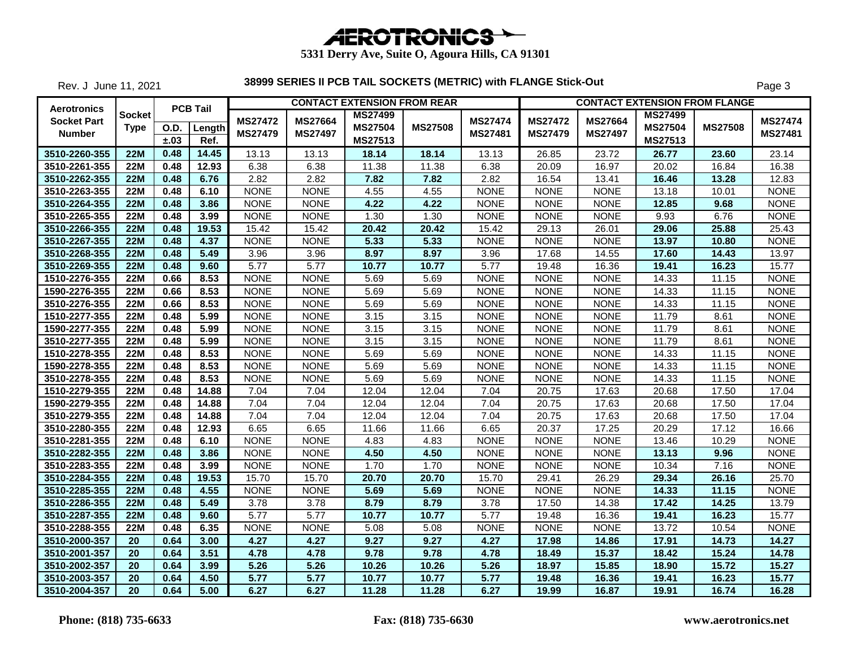| <b>AEROTRONICS</b> |  |
|--------------------|--|

Rev. J June 11, 2021

|                                          |               |              | <b>PCB Tail</b> |                    |                | <b>CONTACT EXTENSION FROM REAR</b> |                |                   |                    |                | <b>CONTACT EXTENSION FROM FLANGE</b> |                |                |
|------------------------------------------|---------------|--------------|-----------------|--------------------|----------------|------------------------------------|----------------|-------------------|--------------------|----------------|--------------------------------------|----------------|----------------|
| <b>Aerotronics</b><br><b>Socket Part</b> | <b>Socket</b> |              |                 | <b>MS27472</b>     | <b>MS27664</b> | <b>MS27499</b>                     |                | <b>MS27474</b>    | <b>MS27472</b>     | <b>MS27664</b> | <b>MS27499</b>                       |                | <b>MS27474</b> |
| <b>Number</b>                            | Type          | O.D.<br>±.03 | Length<br>Ref.  | <b>MS27479</b>     | <b>MS27497</b> | <b>MS27504</b><br>MS27513          | <b>MS27508</b> | <b>MS27481</b>    | <b>MS27479</b>     | <b>MS27497</b> | <b>MS27504</b><br>MS27513            | <b>MS27508</b> | <b>MS27481</b> |
| 3510-2260-355                            | <b>22M</b>    | 0.48         | 14.45           | 13.13              | 13.13          | 18.14                              | 18.14          | 13.13             | 26.85              | 23.72          | 26.77                                | 23.60          | 23.14          |
| 3510-2261-355                            | <b>22M</b>    | 0.48         | 12.93           | 6.38               | 6.38           | 11.38                              | 11.38          | 6.38              | 20.09              | 16.97          | 20.02                                | 16.84          | 16.38          |
| 3510-2262-355                            | <b>22M</b>    | 0.48         | 6.76            | 2.82               | 2.82           | 7.82                               | 7.82           | 2.82              | 16.54              | 13.41          | 16.46                                | 13.28          | 12.83          |
| 3510-2263-355                            | <b>22M</b>    | 0.48         | 6.10            | <b>NONE</b>        | <b>NONE</b>    | 4.55                               | 4.55           | <b>NONE</b>       | <b>NONE</b>        | <b>NONE</b>    | 13.18                                | 10.01          | <b>NONE</b>    |
| 3510-2264-355                            | <b>22M</b>    | 0.48         | 3.86            | <b>NONE</b>        | <b>NONE</b>    | 4.22                               | 4.22           | <b>NONE</b>       | <b>NONE</b>        | <b>NONE</b>    | 12.85                                | 9.68           | <b>NONE</b>    |
| 3510-2265-355                            | <b>22M</b>    | 0.48         | 3.99            | <b>NONE</b>        | <b>NONE</b>    | 1.30                               | 1.30           | <b>NONE</b>       | <b>NONE</b>        | <b>NONE</b>    | 9.93                                 | 6.76           | <b>NONE</b>    |
| 3510-2266-355                            | <b>22M</b>    | 0.48         | 19.53           | $\overline{15.42}$ | 15.42          | 20.42                              | 20.42          | 15.42             | 29.13              | 26.01          | 29.06                                | 25.88          | 25.43          |
| 3510-2267-355                            | 22M           | 0.48         | 4.37            | <b>NONE</b>        | <b>NONE</b>    | 5.33                               | 5.33           | <b>NONE</b>       | <b>NONE</b>        | <b>NONE</b>    | 13.97                                | 10.80          | <b>NONE</b>    |
| 3510-2268-355                            | <b>22M</b>    | 0.48         | 5.49            | 3.96               | 3.96           | 8.97                               | 8.97           | 3.96              | 17.68              | 14.55          | 17.60                                | 14.43          | 13.97          |
| 3510-2269-355                            | <b>22M</b>    | 0.48         | 9.60            | 5.77               | 5.77           | 10.77                              | 10.77          | $\overline{5.77}$ | 19.48              | 16.36          | 19.41                                | 16.23          | 15.77          |
| 1510-2276-355                            | <b>22M</b>    | 0.66         | 8.53            | <b>NONE</b>        | <b>NONE</b>    | 5.69                               | 5.69           | <b>NONE</b>       | <b>NONE</b>        | <b>NONE</b>    | 14.33                                | 11.15          | <b>NONE</b>    |
| 1590-2276-355                            | <b>22M</b>    | 0.66         | 8.53            | <b>NONE</b>        | <b>NONE</b>    | 5.69                               | 5.69           | <b>NONE</b>       | <b>NONE</b>        | <b>NONE</b>    | 14.33                                | 11.15          | <b>NONE</b>    |
| 3510-2276-355                            | <b>22M</b>    | 0.66         | 8.53            | <b>NONE</b>        | <b>NONE</b>    | 5.69                               | 5.69           | <b>NONE</b>       | <b>NONE</b>        | <b>NONE</b>    | 14.33                                | 11.15          | <b>NONE</b>    |
| 1510-2277-355                            | <b>22M</b>    | 0.48         | 5.99            | <b>NONE</b>        | <b>NONE</b>    | 3.15                               | 3.15           | <b>NONE</b>       | <b>NONE</b>        | <b>NONE</b>    | 11.79                                | 8.61           | <b>NONE</b>    |
| 1590-2277-355                            | <b>22M</b>    | 0.48         | 5.99            | <b>NONE</b>        | <b>NONE</b>    | 3.15                               | 3.15           | <b>NONE</b>       | <b>NONE</b>        | <b>NONE</b>    | 11.79                                | 8.61           | <b>NONE</b>    |
| 3510-2277-355                            | <b>22M</b>    | 0.48         | 5.99            | <b>NONE</b>        | <b>NONE</b>    | 3.15                               | 3.15           | <b>NONE</b>       | <b>NONE</b>        | <b>NONE</b>    | 11.79                                | 8.61           | <b>NONE</b>    |
| 1510-2278-355                            | <b>22M</b>    | 0.48         | 8.53            | <b>NONE</b>        | <b>NONE</b>    | 5.69                               | 5.69           | <b>NONE</b>       | <b>NONE</b>        | <b>NONE</b>    | 14.33                                | 11.15          | <b>NONE</b>    |
| 1590-2278-355                            | <b>22M</b>    | 0.48         | 8.53            | <b>NONE</b>        | <b>NONE</b>    | 5.69                               | 5.69           | <b>NONE</b>       | <b>NONE</b>        | <b>NONE</b>    | 14.33                                | 11.15          | <b>NONE</b>    |
| 3510-2278-355                            | <b>22M</b>    | 0.48         | 8.53            | <b>NONE</b>        | <b>NONE</b>    | 5.69                               | 5.69           | <b>NONE</b>       | <b>NONE</b>        | <b>NONE</b>    | 14.33                                | 11.15          | <b>NONE</b>    |
| 1510-2279-355                            | <b>22M</b>    | 0.48         | 14.88           | 7.04               | 7.04           | 12.04                              | 12.04          | 7.04              | 20.75              | 17.63          | 20.68                                | 17.50          | 17.04          |
| 1590-2279-355                            | <b>22M</b>    | 0.48         | 14.88           | 7.04               | 7.04           | 12.04                              | 12.04          | 7.04              | $\overline{2}0.75$ | 17.63          | 20.68                                | 17.50          | 17.04          |
| 3510-2279-355                            | <b>22M</b>    | 0.48         | 14.88           | 7.04               | 7.04           | 12.04                              | 12.04          | 7.04              | 20.75              | 17.63          | 20.68                                | 17.50          | 17.04          |
| 3510-2280-355                            | <b>22M</b>    | 0.48         | 12.93           | 6.65               | 6.65           | 11.66                              | 11.66          | 6.65              | 20.37              | 17.25          | 20.29                                | 17.12          | 16.66          |
| 3510-2281-355                            | 22M           | 0.48         | 6.10            | <b>NONE</b>        | <b>NONE</b>    | 4.83                               | 4.83           | <b>NONE</b>       | <b>NONE</b>        | <b>NONE</b>    | 13.46                                | 10.29          | <b>NONE</b>    |
| 3510-2282-355                            | <b>22M</b>    | 0.48         | 3.86            | <b>NONE</b>        | <b>NONE</b>    | 4.50                               | 4.50           | <b>NONE</b>       | <b>NONE</b>        | <b>NONE</b>    | 13.13                                | 9.96           | <b>NONE</b>    |
| 3510-2283-355                            | <b>22M</b>    | 0.48         | 3.99            | <b>NONE</b>        | <b>NONE</b>    | 1.70                               | 1.70           | <b>NONE</b>       | <b>NONE</b>        | <b>NONE</b>    | 10.34                                | 7.16           | <b>NONE</b>    |
| 3510-2284-355                            | <b>22M</b>    | 0.48         | 19.53           | 15.70              | 15.70          | 20.70                              | 20.70          | 15.70             | 29.41              | 26.29          | 29.34                                | 26.16          | 25.70          |
| 3510-2285-355                            | 22M           | 0.48         | 4.55            | <b>NONE</b>        | <b>NONE</b>    | 5.69                               | 5.69           | <b>NONE</b>       | <b>NONE</b>        | <b>NONE</b>    | 14.33                                | 11.15          | <b>NONE</b>    |
| 3510-2286-355                            | 22M           | 0.48         | 5.49            | 3.78               | 3.78           | 8.79                               | 8.79           | 3.78              | 17.50              | 14.38          | 17.42                                | 14.25          | 13.79          |
| 3510-2287-355                            | <b>22M</b>    | 0.48         | 9.60            | 5.77               | 5.77           | 10.77                              | 10.77          | 5.77              | 19.48              | 16.36          | 19.41                                | 16.23          | 15.77          |
| 3510-2288-355                            | <b>22M</b>    | 0.48         | 6.35            | <b>NONE</b>        | <b>NONE</b>    | 5.08                               | 5.08           | <b>NONE</b>       | <b>NONE</b>        | <b>NONE</b>    | 13.72                                | 10.54          | <b>NONE</b>    |
| 3510-2000-357                            | 20            | 0.64         | 3.00            | 4.27               | 4.27           | 9.27                               | 9.27           | 4.27              | 17.98              | 14.86          | 17.91                                | 14.73          | 14.27          |
| 3510-2001-357                            | 20            | 0.64         | 3.51            | 4.78               | 4.78           | 9.78                               | 9.78           | 4.78              | 18.49              | 15.37          | 18.42                                | 15.24          | 14.78          |
| 3510-2002-357                            | 20            | 0.64         | 3.99            | 5.26               | 5.26           | 10.26                              | 10.26          | 5.26              | 18.97              | 15.85          | 18.90                                | 15.72          | 15.27          |
| 3510-2003-357                            | 20            | 0.64         | 4.50            | 5.77               | 5.77           | 10.77                              | 10.77          | 5.77              | 19.48              | 16.36          | 19.41                                | 16.23          | 15.77          |
| 3510-2004-357                            | 20            | 0.64         | 5.00            | 6.27               | 6.27           | 11.28                              | 11.28          | 6.27              | 19.99              | 16.87          | 19.91                                | 16.74          | 16.28          |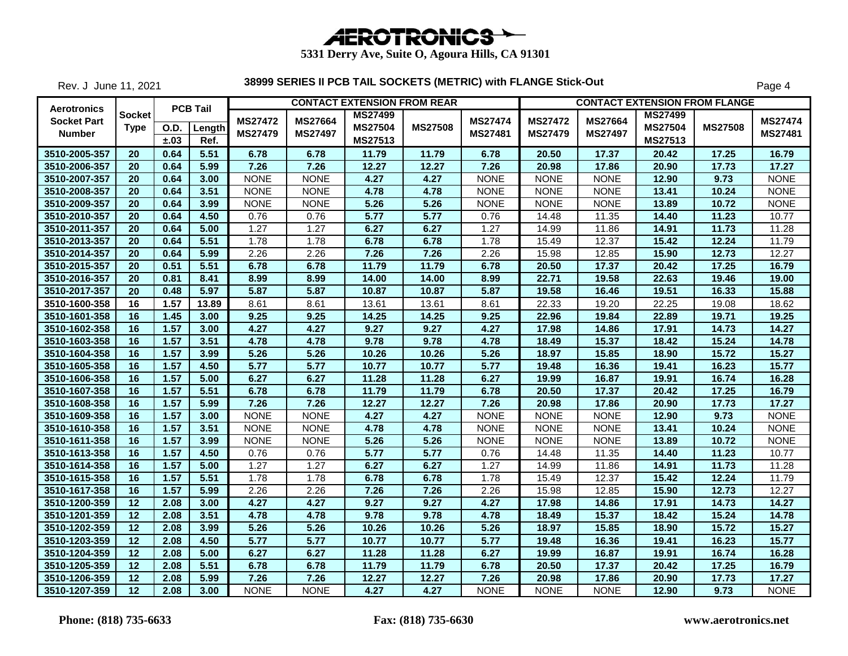| <b>AEROTRONICS</b> |  |
|--------------------|--|

Rev. J June 11, 2021

| Aerotronics                         |                       |                     | <b>PCB Tail</b> |                                  |                                  | <b>CONTACT EXTENSION FROM REAR</b>          |                |                                  |                                  | <b>CONTACT EXTENSION FROM FLANGE</b> |                                             |                |                           |
|-------------------------------------|-----------------------|---------------------|-----------------|----------------------------------|----------------------------------|---------------------------------------------|----------------|----------------------------------|----------------------------------|--------------------------------------|---------------------------------------------|----------------|---------------------------|
| <b>Socket Part</b><br><b>Number</b> | Socket<br><b>Type</b> | <b>O.D.</b><br>±.03 | Length<br>Ref.  | <b>MS27472</b><br><b>MS27479</b> | <b>MS27664</b><br><b>MS27497</b> | <b>MS27499</b><br><b>MS27504</b><br>MS27513 | <b>MS27508</b> | <b>MS27474</b><br><b>MS27481</b> | <b>MS27472</b><br><b>MS27479</b> | <b>MS27664</b><br><b>MS27497</b>     | <b>MS27499</b><br><b>MS27504</b><br>MS27513 | <b>MS27508</b> | <b>MS27474</b><br>MS27481 |
| 3510-2005-357                       | 20                    | 0.64                | 5.51            | 6.78                             | 6.78                             | 11.79                                       | 11.79          | 6.78                             | 20.50                            | 17.37                                | 20.42                                       | 17.25          | 16.79                     |
| 3510-2006-357                       | 20                    | 0.64                | 5.99            | 7.26                             | 7.26                             | 12.27                                       | 12.27          | 7.26                             | 20.98                            | 17.86                                | 20.90                                       | 17.73          | 17.27                     |
| 3510-2007-357                       | 20                    | 0.64                | 3.00            | <b>NONE</b>                      | <b>NONE</b>                      | 4.27                                        | 4.27           | <b>NONE</b>                      | <b>NONE</b>                      | <b>NONE</b>                          | 12.90                                       | 9.73           | <b>NONE</b>               |
| 3510-2008-357                       | 20                    | 0.64                | 3.51            | <b>NONE</b>                      | <b>NONE</b>                      | 4.78                                        | 4.78           | <b>NONE</b>                      | <b>NONE</b>                      | <b>NONE</b>                          | 13.41                                       | 10.24          | <b>NONE</b>               |
| 3510-2009-357                       | 20                    | 0.64                | 3.99            | <b>NONE</b>                      | <b>NONE</b>                      | 5.26                                        | 5.26           | <b>NONE</b>                      | <b>NONE</b>                      | <b>NONE</b>                          | 13.89                                       | 10.72          | <b>NONE</b>               |
| 3510-2010-357                       | 20                    | 0.64                | 4.50            | 0.76                             | 0.76                             | 5.77                                        | 5.77           | 0.76                             | 14.48                            | 11.35                                | 14.40                                       | 11.23          | 10.77                     |
| 3510-2011-357                       | 20                    | 0.64                | 5.00            | 1.27                             | 1.27                             | 6.27                                        | 6.27           | 1.27                             | 14.99                            | 11.86                                | 14.91                                       | 11.73          | 11.28                     |
| 3510-2013-357                       | 20                    | 0.64                | 5.51            | 1.78                             | 1.78                             | 6.78                                        | 6.78           | 1.78                             | 15.49                            | 12.37                                | 15.42                                       | 12.24          | 11.79                     |
| 3510-2014-357                       | 20                    | 0.64                | 5.99            | 2.26                             | 2.26                             | 7.26                                        | 7.26           | 2.26                             | 15.98                            | 12.85                                | 15.90                                       | 12.73          | 12.27                     |
| 3510-2015-357                       | 20                    | 0.51                | 5.51            | 6.78                             | 6.78                             | 11.79                                       | 11.79          | 6.78                             | 20.50                            | 17.37                                | 20.42                                       | 17.25          | 16.79                     |
| 3510-2016-357                       | 20                    | 0.81                | 8.41            | 8.99                             | 8.99                             | 14.00                                       | 14.00          | 8.99                             | 22.71                            | 19.58                                | 22.63                                       | 19.46          | 19.00                     |
| 3510-2017-357                       | 20                    | 0.48                | 5.97            | 5.87                             | 5.87                             | 10.87                                       | 10.87          | 5.87                             | 19.58                            | 16.46                                | 19.51                                       | 16.33          | 15.88                     |
| 3510-1600-358                       | 16                    | 1.57                | 13.89           | 8.61                             | 8.61                             | 13.61                                       | 13.61          | 8.61                             | 22.33                            | 19.20                                | 22.25                                       | 19.08          | 18.62                     |
| 3510-1601-358                       | 16                    | 1.45                | 3.00            | 9.25                             | 9.25                             | 14.25                                       | 14.25          | 9.25                             | 22.96                            | 19.84                                | 22.89                                       | 19.71          | 19.25                     |
| 3510-1602-358                       | 16                    | 1.57                | 3.00            | 4.27                             | 4.27                             | 9.27                                        | 9.27           | 4.27                             | 17.98                            | 14.86                                | 17.91                                       | 14.73          | 14.27                     |
| 3510-1603-358                       | 16                    | 1.57                | 3.51            | 4.78                             | 4.78                             | 9.78                                        | 9.78           | 4.78                             | 18.49                            | 15.37                                | 18.42                                       | 15.24          | 14.78                     |
| 3510-1604-358                       | 16                    | $\overline{1.57}$   | 3.99            | 5.26                             | 5.26                             | 10.26                                       | 10.26          | 5.26                             | 18.97                            | 15.85                                | 18.90                                       | 15.72          | 15.27                     |
| 3510-1605-358                       | 16                    | 1.57                | 4.50            | 5.77                             | 5.77                             | 10.77                                       | 10.77          | 5.77                             | 19.48                            | 16.36                                | 19.41                                       | 16.23          | 15.77                     |
| 3510-1606-358                       | 16                    | 1.57                | 5.00            | 6.27                             | 6.27                             | 11.28                                       | 11.28          | 6.27                             | 19.99                            | 16.87                                | 19.91                                       | 16.74          | 16.28                     |
| 3510-1607-358                       | 16                    | 1.57                | 5.51            | 6.78                             | 6.78                             | 11.79                                       | 11.79          | 6.78                             | 20.50                            | 17.37                                | 20.42                                       | 17.25          | 16.79                     |
| 3510-1608-358                       | 16                    | 1.57                | 5.99            | 7.26                             | 7.26                             | 12.27                                       | 12.27          | 7.26                             | 20.98                            | 17.86                                | 20.90                                       | 17.73          | 17.27                     |
| 3510-1609-358                       | 16                    | 1.57                | 3.00            | <b>NONE</b>                      | <b>NONE</b>                      | 4.27                                        | 4.27           | <b>NONE</b>                      | <b>NONE</b>                      | <b>NONE</b>                          | 12.90                                       | 9.73           | <b>NONE</b>               |
| 3510-1610-358                       | 16                    | 1.57                | 3.51            | <b>NONE</b>                      | <b>NONE</b>                      | 4.78                                        | 4.78           | <b>NONE</b>                      | <b>NONE</b>                      | <b>NONE</b>                          | 13.41                                       | 10.24          | <b>NONE</b>               |
| 3510-1611-358                       | 16                    | $\overline{1.57}$   | 3.99            | <b>NONE</b>                      | <b>NONE</b>                      | 5.26                                        | 5.26           | <b>NONE</b>                      | <b>NONE</b>                      | <b>NONE</b>                          | 13.89                                       | 10.72          | <b>NONE</b>               |
| 3510-1613-358                       | 16                    | 1.57                | 4.50            | 0.76                             | 0.76                             | 5.77                                        | 5.77           | 0.76                             | 14.48                            | 11.35                                | 14.40                                       | 11.23          | 10.77                     |
| 3510-1614-358                       | 16                    | 1.57                | 5.00            | 1.27                             | 1.27                             | 6.27                                        | 6.27           | 1.27                             | 14.99                            | 11.86                                | 14.91                                       | 11.73          | 11.28                     |
| 3510-1615-358                       | 16                    | $\overline{1.57}$   | 5.51            | 1.78                             | 1.78                             | 6.78                                        | 6.78           | 1.78                             | 15.49                            | 12.37                                | 15.42                                       | 12.24          | 11.79                     |
| 3510-1617-358                       | 16                    | 1.57                | 5.99            | 2.26                             | 2.26                             | 7.26                                        | 7.26           | 2.26                             | 15.98                            | 12.85                                | 15.90                                       | 12.73          | 12.27                     |
| 3510-1200-359                       | 12                    | 2.08                | 3.00            | 4.27                             | 4.27                             | 9.27                                        | 9.27           | 4.27                             | 17.98                            | 14.86                                | 17.91                                       | 14.73          | 14.27                     |
| 3510-1201-359                       | 12                    | 2.08                | 3.51            | 4.78                             | 4.78                             | 9.78                                        | 9.78           | 4.78                             | 18.49                            | 15.37                                | 18.42                                       | 15.24          | 14.78                     |
| 3510-1202-359                       | 12                    | 2.08                | 3.99            | 5.26                             | 5.26                             | 10.26                                       | 10.26          | 5.26                             | 18.97                            | 15.85                                | 18.90                                       | 15.72          | 15.27                     |
| 3510-1203-359                       | 12                    | 2.08                | 4.50            | 5.77                             | 5.77                             | 10.77                                       | 10.77          | 5.77                             | 19.48                            | 16.36                                | 19.41                                       | 16.23          | 15.77                     |
| 3510-1204-359                       | 12                    | 2.08                | 5.00            | 6.27                             | 6.27                             | 11.28                                       | 11.28          | 6.27                             | 19.99                            | 16.87                                | 19.91                                       | 16.74          | 16.28                     |
| 3510-1205-359                       | 12                    | 2.08                | 5.51            | 6.78                             | 6.78                             | 11.79                                       | 11.79          | 6.78                             | 20.50                            | 17.37                                | 20.42                                       | 17.25          | 16.79                     |
| 3510-1206-359                       | 12                    | 2.08                | 5.99            | 7.26                             | 7.26                             | 12.27                                       | 12.27          | 7.26                             | 20.98                            | 17.86                                | 20.90                                       | 17.73          | 17.27                     |
| 3510-1207-359                       | 12                    | 2.08                | 3.00            | <b>NONE</b>                      | <b>NONE</b>                      | 4.27                                        | 4.27           | <b>NONE</b>                      | <b>NONE</b>                      | <b>NONE</b>                          | 12.90                                       | 9.73           | <b>NONE</b>               |